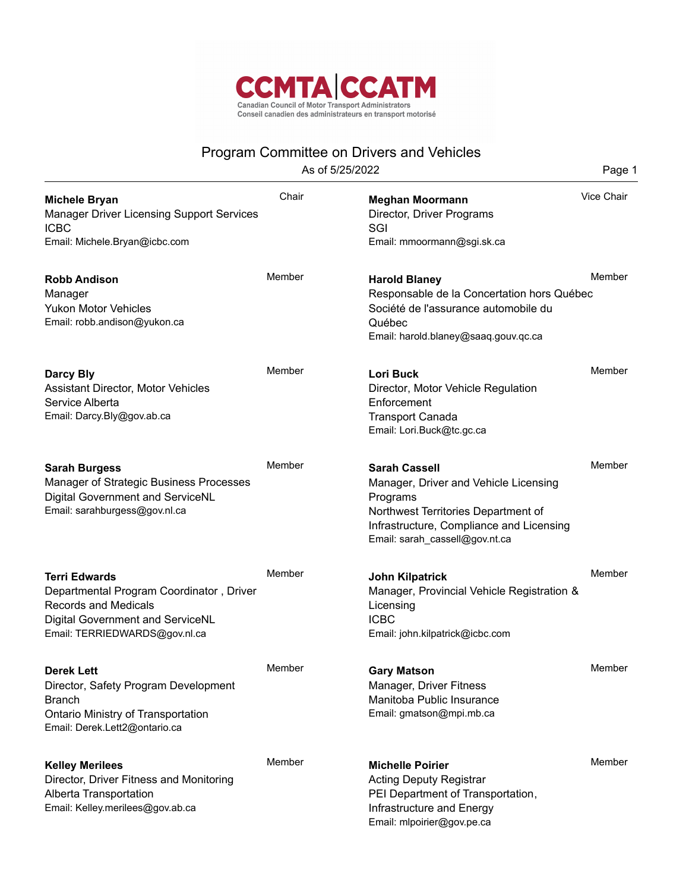

## Program Committee on Drivers and Vehicles

As of 5/25/2022 **Page 1** 

| <b>Michele Bryan</b><br><b>Manager Driver Licensing Support Services</b><br><b>ICBC</b><br>Email: Michele.Bryan@icbc.com                                             | Chair  | <b>Meghan Moormann</b><br>Director, Driver Programs<br>SGI<br>Email: mmoormann@sgi.sk.ca                                                                                                       | Vice Chair |
|----------------------------------------------------------------------------------------------------------------------------------------------------------------------|--------|------------------------------------------------------------------------------------------------------------------------------------------------------------------------------------------------|------------|
| <b>Robb Andison</b><br>Manager<br><b>Yukon Motor Vehicles</b><br>Email: robb.andison@yukon.ca                                                                        | Member | <b>Harold Blaney</b><br>Responsable de la Concertation hors Québec<br>Société de l'assurance automobile du<br>Québec<br>Email: harold.blaney@saaq.gouv.qc.ca                                   | Member     |
| <b>Darcy Bly</b><br>Assistant Director, Motor Vehicles<br>Service Alberta<br>Email: Darcy.Bly@gov.ab.ca                                                              | Member | <b>Lori Buck</b><br>Director, Motor Vehicle Regulation<br>Enforcement<br><b>Transport Canada</b><br>Email: Lori.Buck@tc.gc.ca                                                                  | Member     |
| <b>Sarah Burgess</b><br>Manager of Strategic Business Processes<br>Digital Government and ServiceNL<br>Email: sarahburgess@gov.nl.ca                                 | Member | <b>Sarah Cassell</b><br>Manager, Driver and Vehicle Licensing<br>Programs<br>Northwest Territories Department of<br>Infrastructure, Compliance and Licensing<br>Email: sarah_cassell@gov.nt.ca | Member     |
| <b>Terri Edwards</b><br>Departmental Program Coordinator, Driver<br><b>Records and Medicals</b><br>Digital Government and ServiceNL<br>Email: TERRIEDWARDS@gov.nl.ca | Member | <b>John Kilpatrick</b><br>Manager, Provincial Vehicle Registration &<br>Licensing<br><b>ICBC</b><br>Email: john.kilpatrick@icbc.com                                                            | Member     |
| <b>Derek Lett</b><br>Director, Safety Program Development<br><b>Branch</b><br>Ontario Ministry of Transportation<br>Email: Derek.Lett2@ontario.ca                    | Member | <b>Gary Matson</b><br>Manager, Driver Fitness<br>Manitoba Public Insurance<br>Email: gmatson@mpi.mb.ca                                                                                         | Member     |
| <b>Kelley Merilees</b><br>Director, Driver Fitness and Monitoring<br>Alberta Transportation<br>Email: Kelley.merilees@gov.ab.ca                                      | Member | <b>Michelle Poirier</b><br><b>Acting Deputy Registrar</b><br>PEI Department of Transportation,<br>Infrastructure and Energy<br>Email: mlpoirier@gov.pe.ca                                      | Member     |